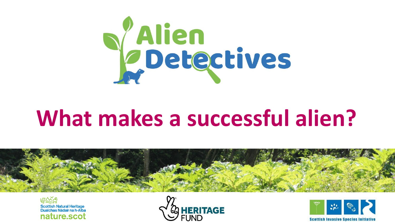

# **What makes a successful alien?**



的复数 Scottish Natural Heritage<br>Dualchas Nàdair na h-Alba nature.scot



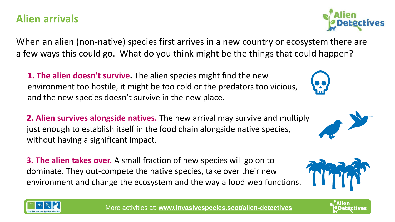#### **Alien arrivals**

When an alien (non-native) species first arrives in a new country or ecosystem there are a few ways this could go. What do you think might be the things that could happen?

**1. The alien doesn't survive.** The alien species might find the new environment too hostile, it might be too cold or the predators too vicious, and the new species doesn't survive in the new place.

**2. Alien survives alongside natives.** The new arrival may survive and multiply just enough to establish itself in the food chain alongside native species, without having a significant impact.

**3. The alien takes over.** A small fraction of new species will go on to dominate. They out-compete the native species, take over their new environment and change the ecosystem and the way a food web functions.











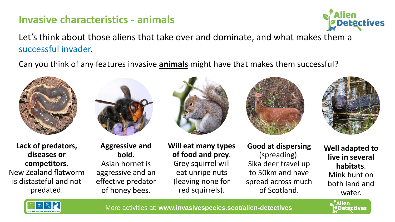# **Invasive characteristics - animals**



Let's think about those aliens that take over and dominate, and what makes them a successful invader.

Can you think of any features invasive **animals** might have that makes them successful?







**Aggressive and bold.**  Asian hornet is aggressive and an effective predator of honey bees.



**Will eat many types of food and prey**. Grey squirrel will eat unripe nuts (leaving none for red squirrels).



**Good at dispersing**  (spreading). Sika deer travel up to 50km and have spread across much of Scotland.



**Well adapted to live in several habitats**. Mink hunt on both land and water.

*Detectives* 

**Alien** 

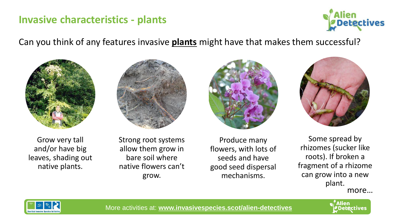#### **Invasive characteristics - plants**



#### Can you think of any features invasive **plants** might have that makes them successful?









Grow very tall and/or have big leaves, shading out native plants.

Strong root systems allow them grow in bare soil where native flowers can't grow.

Produce many flowers, with lots of seeds and have good seed dispersal mechanisms.

Some spread by rhizomes (sucker like roots). If broken a fragment of a rhizome can grow into a new plant. more…



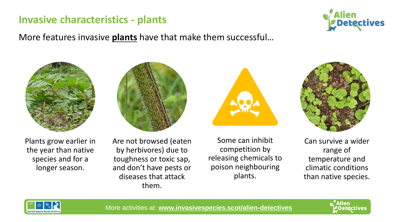### **Invasive characteristics - plants**

More features invasive **plants** have that make them successful…











Plants grow earlier in the year than native species and for a longer season.

Are not browsed (eaten by herbivores) due to toughness or toxic sap, and don't have pests or diseases that attack them.

Some can inhibit competition by releasing chemicals to poison neighbouring plants.

Can survive a wider range of temperature and climatic conditions than native species.



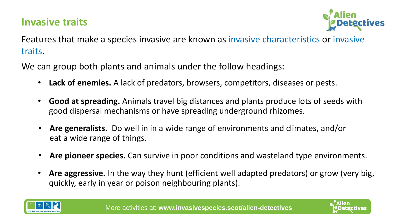# **Invasive traits**



Features that make a species invasive are known as invasive characteristics or invasive traits.

We can group both plants and animals under the follow headings:

- **Lack of enemies.** A lack of predators, browsers, competitors, diseases or pests.
- **Good at spreading.** Animals travel big distances and plants produce lots of seeds with good dispersal mechanisms or have spreading underground rhizomes.
- **Are generalists.** Do well in in a wide range of environments and climates, and/or eat a wide range of things.
- **Are pioneer species.** Can survive in poor conditions and wasteland type environments.
- **Are aggressive.** In the way they hunt (efficient well adapted predators) or grow (very big, quickly, early in year or poison neighbouring plants).



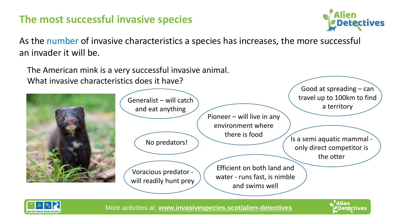### **The most successful invasive species**



Alien

**Detectives** 

As the number of invasive characteristics a species has increases, the more successful an invader it will be.

The American mink is a very successful invasive animal. What invasive characteristics does it have? Pioneer – will live in any environment where there is food No predators! only direct competitor is the otter Good at spreading  $-$  can travel up to 100km to find a territory Generalist – will catch and eat anything Voracious predator will readily hunt prey Efficient on both land and water - runs fast, is nimble and swims well ©Ryzhkov Sergey CC BY-SA 4.0

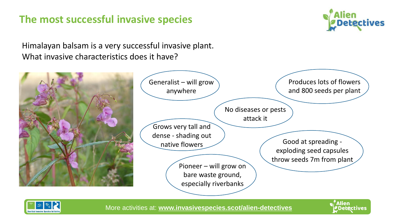### **The most successful invasive species**



Himalayan balsam is a very successful invasive plant. What invasive characteristics does it have?



| Generalist - will grow                                                                                                                                                     | Produces lots of flowers                                                    |
|----------------------------------------------------------------------------------------------------------------------------------------------------------------------------|-----------------------------------------------------------------------------|
| anywhere                                                                                                                                                                   | and 800 seeds per plant                                                     |
| No diseases or pests<br>attack it<br>Grows very tall and<br>dense - shading out<br>native flowers<br>Pioneer – will grow on<br>bare waste ground,<br>especially riverbanks | Good at spreading -<br>exploding seed capsules<br>throw seeds 7m from plant |